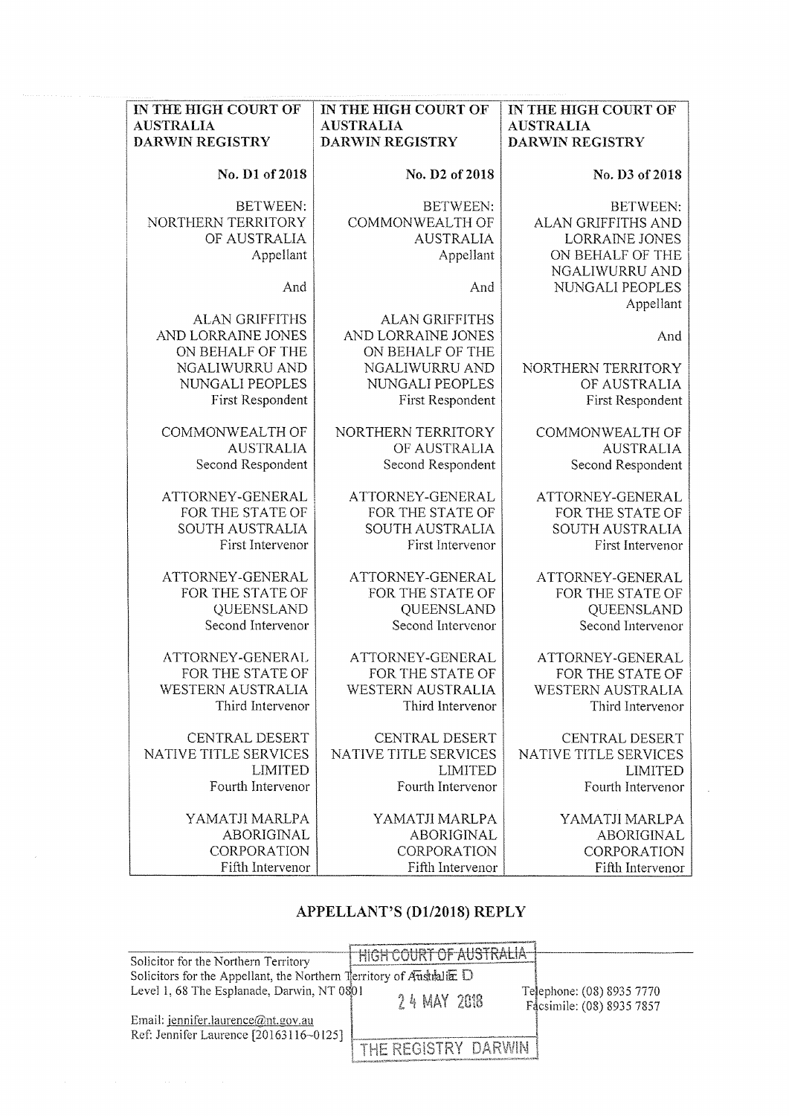| IN THE HIGH COURT OF   | IN THE HIGH COURT OF   | IN THE HIGH COURT OF     |
|------------------------|------------------------|--------------------------|
| <b>AUSTRALIA</b>       | <b>AUSTRALIA</b>       | <b>AUSTRALIA</b>         |
| <b>DARWIN REGISTRY</b> | <b>DARWIN REGISTRY</b> | DARWIN REGISTRY          |
| No. D1 of 2018         | No. D2 of 2018         | No. D3 of 2018           |
| <b>BETWEEN:</b>        | <b>BETWEEN:</b>        | <b>BETWEEN:</b>          |
| NORTHERN TERRITORY     | COMMONWEALTH OF        | ALAN GRIFFITHS AND       |
| OF AUSTRALIA           | <b>AUSTRALIA</b>       | LORRAINE JONES           |
| Appellant              | Appellant              | ON BEHALF OF THE         |
|                        |                        | NGALIWURRU AND           |
| And                    | And                    | NUNGALI PEOPLES          |
|                        |                        | Appellant                |
| <b>ALAN GRIFFITHS</b>  | <b>ALAN GRIFFITHS</b>  |                          |
| AND LORRAINE JONES     | AND LORRAINE JONES     | And                      |
| ON BEHALF OF THE       | ON BEHALF OF THE       |                          |
| NGALIWURRU AND         | NGALIWURRU AND         | NORTHERN TERRITORY       |
| NUNGALI PEOPLES        | NUNGALI PEOPLES        | OF AUSTRALIA             |
| First Respondent       | First Respondent       | First Respondent         |
| COMMONWEALTH OF        | NORTHERN TERRITORY     | COMMONWEALTH OF          |
| <b>AUSTRALIA</b>       | OF AUSTRALIA           | <b>AUSTRALIA</b>         |
| Second Respondent      | Second Respondent      | Second Respondent        |
| ATTORNEY-GENERAL       | ATTORNEY-GENERAL       | ATTORNEY-GENERAL         |
| FOR THE STATE OF       | FOR THE STATE OF       | FOR THE STATE OF         |
| SOUTH AUSTRALIA        | SOUTH AUSTRALIA        | SOUTH AUSTRALIA          |
| First Intervenor       | First Intervenor       | First Intervenor         |
| ATTORNEY-GENERAL       | ATTORNEY-GENERAL       | ATTORNEY-GENERAL         |
| FOR THE STATE OF       | FOR THE STATE OF       | FOR THE STATE OF         |
| QUEENSLAND             | QUEENSLAND             | QUEENSLAND               |
| Second Intervenor      | Second Intervenor      | Second Intervenor        |
| ATTORNEY-GENERAL       | ATTORNEY-GENERAL       | ATTORNEY-GENERAL         |
| FOR THE STATE OF       | FOR THE STATE OF       | FOR THE STATE OF         |
| WESTERN AUSTRALIA      | WESTERN AUSTRALIA      | <b>WESTERN AUSTRALIA</b> |
| Third Intervenor       | Third Intervenor       | Third Intervenor         |
| CENTRAL DESERT         | CENTRAL DESERT         | CENTRAL DESERT           |
| NATIVE TITLE SERVICES  | NATIVE TITLE SERVICES  | NATIVE TITLE SERVICES    |
| <b>LIMITED</b>         | <b>LIMITED</b>         | <b>LIMITED</b>           |
| Fourth Intervenor      | Fourth Intervenor      | Fourth Intervenor        |
| YAMATJI MARLPA         | YAMATJI MARLPA         | YAMATJI MARLPA           |
| ABORIGINAL             | <b>ABORIGINAL</b>      | ABORIGINAL               |
| CORPORATION            | CORPORATION            | CORPORATION              |
| Fifth Intervenor       | Fifth Intervenor       | Fifth Intervenor         |

# **APPELLANT'S (Dl/2018) REPLY**

| Solicitor for the Northern Territory                                          | HIGH COURT OF AUSTRALIA |                           |
|-------------------------------------------------------------------------------|-------------------------|---------------------------|
| Solicitors for the Appellant, the Northern Territory of Australia $\mathbb D$ |                         |                           |
| Level 1, 68 The Esplanade, Darwin, NT 0801                                    |                         | Telephone: (08) 8935 7770 |
|                                                                               | 24 MAY 2018             | Facsimile: (08) 8935 7857 |
| Email: jennifer.laurence@nt.gov.au                                            |                         |                           |
| Ref: Jennifer Laurence [20163116~0125]                                        |                         |                           |
|                                                                               | THE REGISTRY DARWIN     |                           |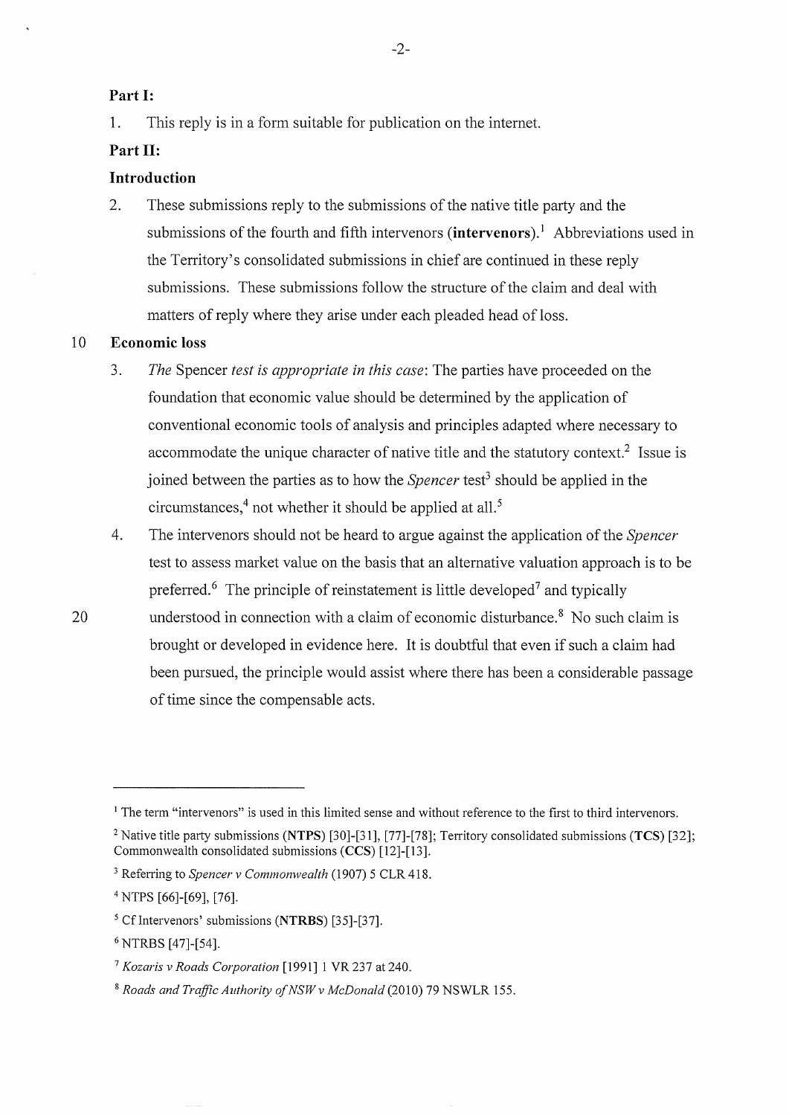### **Part 1:**

1. This reply is in a form suitable for publication on the intemet.

### **Part 11:**

# **Introduction**

2. These submissions reply to the submissions of the native title party and the submissions of the fourth and fifth intervenors (**intervenors**).<sup>1</sup> Abbreviations used in the Territory's consolidated submissions in chief are continued in these reply submissions. These submissions follow the structure of the claim and deal with matters of reply where they arise under each pleaded head of loss.

### 10 **Economic loss**

- 3. *The* Spencer *test is appropriate in this case:* The parties have proceeded on the foundation that economic value should be determined by the application of conventional economic tools of analysis and principles adapted where necessary to accommodate the unique character of native title and the statutory context.<sup>2</sup> Issue is joined between the parties as to how the *Spencer* test<sup>3</sup> should be applied in the circumstances,<sup>4</sup> not whether it should be applied at all.<sup>5</sup>
- 4. The intervenors should not be heard to argue against the application of the *Spencer*  test to assess market value on the basis that an alternative valuation approach is to be preferred.<sup>6</sup> The principle of reinstatement is little developed<sup>7</sup> and typically
- 20 understood in connection with a claim of economic disturbance.<sup>8</sup> No such claim is brought or developed in evidence here. It is doubtful that even if such a claim had been pursued, the principle would assist where there has been a considerable passage of time since the compensable acts.

<sup>&</sup>lt;sup>1</sup> The term "intervenors" is used in this limited sense and without reference to the first to third intervenors.

<sup>&</sup>lt;sup>2</sup> Native title party submissions (NTPS) [30]-[31], [77]-[78]; Territory consolidated submissions (TCS) [32]; Commonwealth consolidated submissions **(CCS)** [12]-[13].

<sup>3</sup> Referring to *Spencer v Commonwealth* (1907) 5 CLR 418.

<sup>4</sup>NTPS [66]-[69], [76].

<sup>5</sup> Cflntervenors' submissions **(NTRBS)** [35]-[37].

<sup>6</sup> NTRBS [47]-[54].

<sup>7</sup>*Kozaris v Roads Corporation* [1991] 1 VR 237 at 240.

<sup>8</sup>*Roads and Traffic Authority ofNSWv McDonald* (2010) 79 NSWLR 155.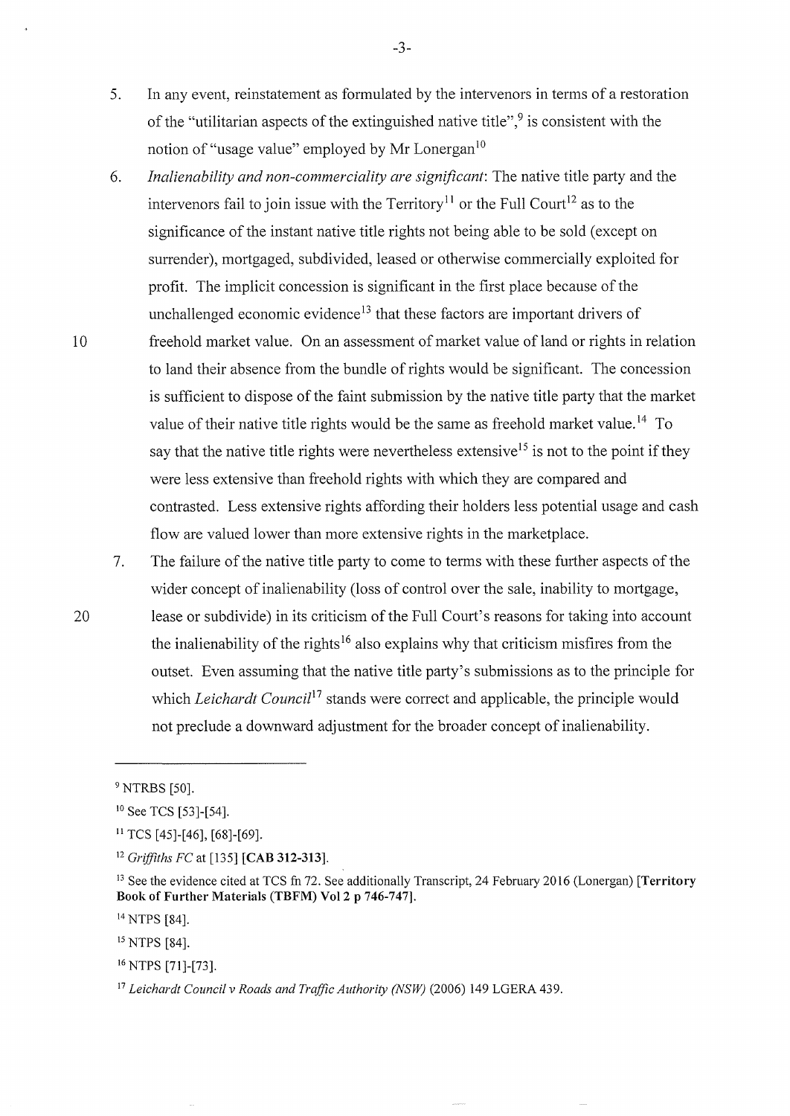- 5. In any event, reinstatement as formulated by the intervenors in terms of a restoration of the "utilitarian aspects of the extinguished native title",<sup>9</sup> is consistent with the notion of "usage value" employed by Mr Lonergan<sup>10</sup>
- 6. *Inalienability and non-commerciality are significant:* The native title party and the intervenors fail to join issue with the Territory<sup>11</sup> or the Full Court<sup>12</sup> as to the significance of the instant native title rights not being able to be sold (except on surrender), mortgaged, subdivided, leased or otherwise commercially exploited for profit. The implicit concession is significant in the first place because of the unchallenged economic evidence<sup>13</sup> that these factors are important drivers of 10 freehold market value. On an assessment of market value of land or rights in relation to land their absence from the bundle of rights would be significant. The concession is sufficient to dispose of the faint submission by the native title party that the market value of their native title rights would be the same as freehold market value.<sup>14</sup> To say that the native title rights were nevertheless extensive<sup>15</sup> is not to the point if they were less extensive than freehold rights with which they are compared and contrasted. Less extensive rights affording their holders less potential usage and cash flow are valued lower than more extensive rights in the marketplace.
- 7. The failure of the native title party to come to terms with these further aspects of the wider concept of inalienability (loss of control over the sale, inability to mortgage, 20 lease or subdivide) in its criticism of the Full Court's reasons for taking into account the inalienability of the rights<sup>16</sup> also explains why that criticism misfires from the outset. Even assuming that the native title party's submissions as to the principle for which *Leichardt Council*<sup>17</sup> stands were correct and applicable, the principle would not preclude a downward adjustment for the broader concept of inalienability.

..., -.)-

<sup>9</sup> NTRBS [50].

<sup>10</sup> See TCS [53]-[54].

 $11$  TCS [45]-[46], [68]-[69].

<sup>12</sup>*Griffiths FC* at [135] **[CAB 312-313].** 

<sup>13</sup> See the evidence cited at TCS fn 72. See additionally Transcript, 24 February 2016 (Lonergan) **[Territory Book of Further Materials (TBFM) Vol2 p 746-747).** 

<sup>14</sup> NTPS [84].

<sup>15</sup> NTPS [84].

<sup>16</sup> NTPS [71]-[73].

<sup>17</sup> *Leichardt Council v Roads and Traffic Authority (NSW)* (2006) 149 LGERA 439.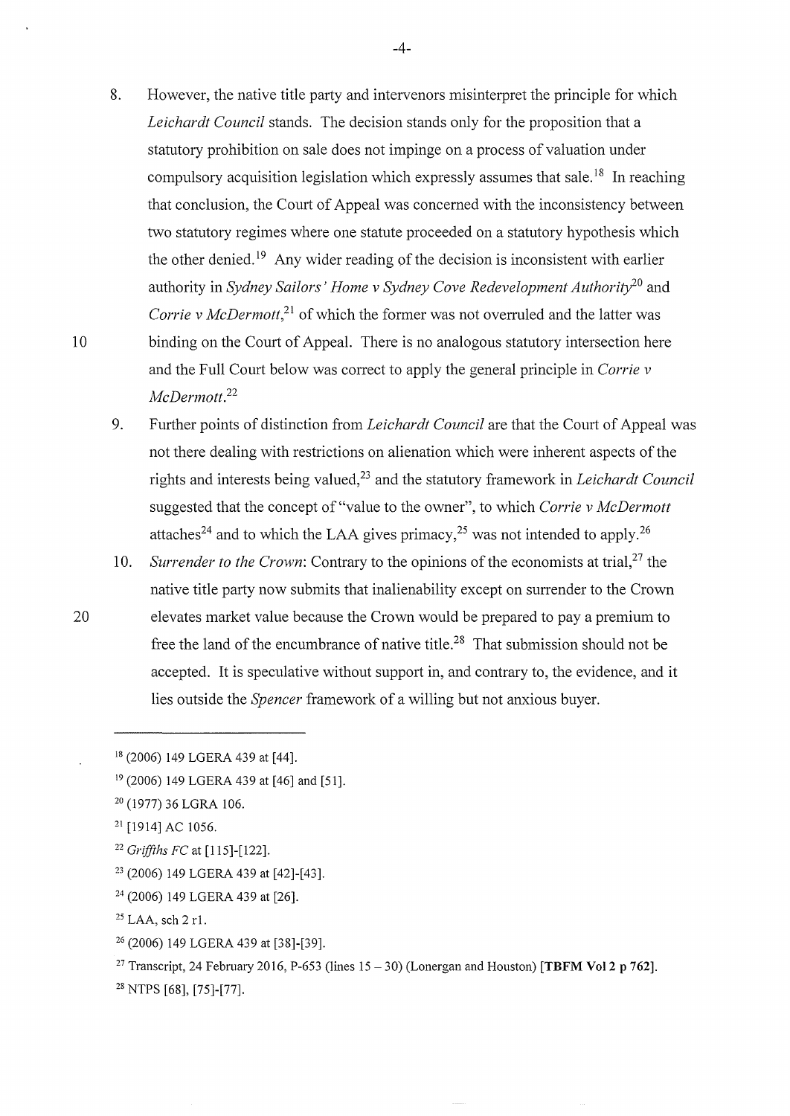- 8. However, the native title party and intervenors misinterpret the principle for which *Leichardt Council* stands. The decision stands only for the proposition that a statutory prohibition on sale does not impinge on a process of valuation under compulsory acquisition legislation which expressly assumes that sale.<sup>18</sup> In reaching that conclusion, the Court of Appeal was concerned with the inconsistency between two statutory regimes where one statute proceeded on a statutory hypothesis which the other denied.<sup>19</sup> Any wider reading of the decision is inconsistent with earlier authority in *Sydney Sailors' Home v Sydney Cove Redevelopment Authority20* and *Corrie v McDermott*,<sup>21</sup> of which the former was not overruled and the latter was 10 binding on the Court of Appeal. There is no analogous statutory intersection here and the Full Court below was correct to apply the general principle in *Corrie v McDermott.* <sup>22</sup>
	- 9. Further points of distinction from *Leichardt Council* are that the Court of Appeal was not there dealing with restrictions on alienation which were inherent aspects of the rights and interests being valued,23 and the statutory framework in *Leichardt Council*  suggested that the concept of "value to the owner", to which *Corrie v McDermott*  attaches<sup>24</sup> and to which the LAA gives primacy,<sup>25</sup> was not intended to apply.<sup>26</sup>
- 10. *Surrender to the Crown*: Contrary to the opinions of the economists at trial,<sup>27</sup> the native title party now submits that inalienability except on surrender to the Crown 20 elevates market value because the Crown would be prepared to pay a premium to free the land of the encumbrance of native title.<sup>28</sup> That submission should not be accepted. It is speculative without support in, and contrary to, the evidence, and it lies outside the *Spencer* framework of a willing but not anxious buyer.

- 21 [1914] AC 1056.
- <sup>22</sup>*Griffihs FC* at [115]-[122].
- 23 (2006) 149 LGERA 439 at [42]-[43].
- 24 (2006) 149 LGERA 439 at [26].
- $25$  LAA, sch 2 r1.
- 26 (2006) 149 LGERA 439 at [38]-[39].
- <sup>27</sup> Transcript, 24 February 2016, P-653 (lines  $15 30$ ) (Lonergan and Houston) **[TBFM Vol 2 p 762**].
- 28 NTPS [68], [75]-[77].

-4-

<sup>&</sup>lt;sup>18</sup> (2006) 149 LGERA 439 at [44].

<sup>19 (2006) 149</sup> LGERA 439 at [46] and [51].

<sup>20 (1977) 36</sup> LGRA 106.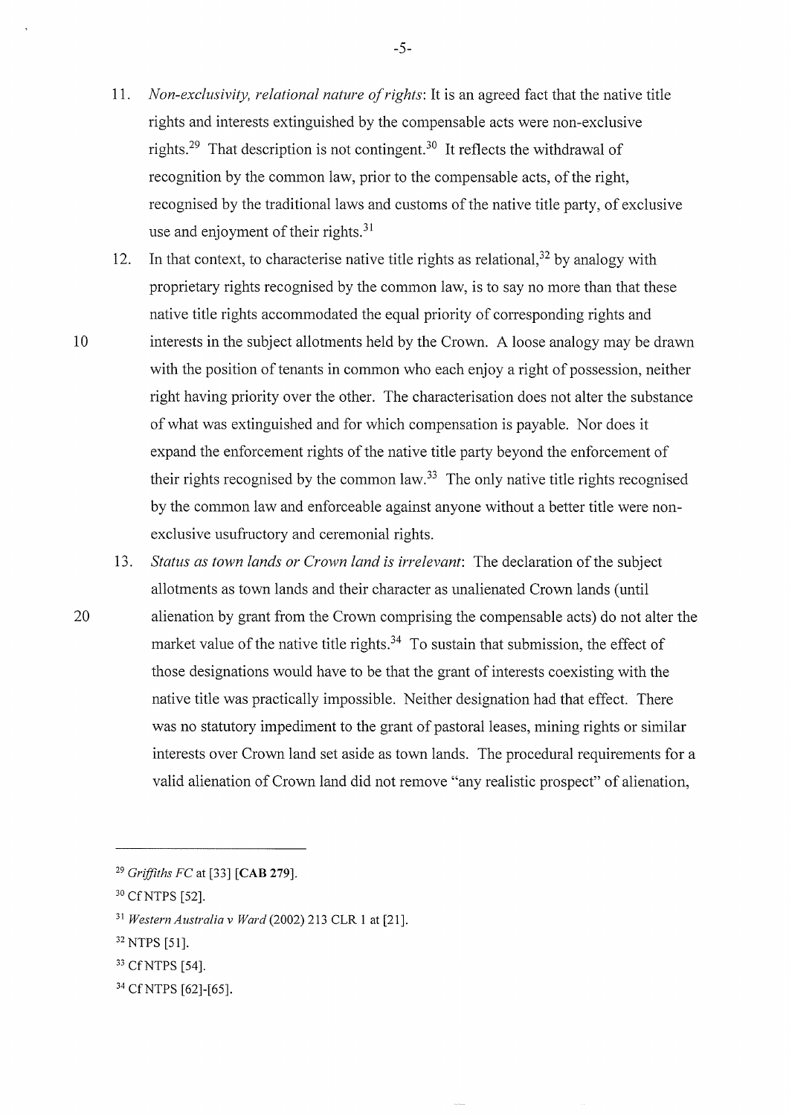- 11. *Non-exclusivity, relational nature of rights:* It is an agreed fact that the native title rights and interests extinguished by the compensable acts were non-exclusive rights.<sup>29</sup> That description is not contingent.<sup>30</sup> It reflects the withdrawal of recognition by the common law, prior to the compensable acts, of the right, recognised by the traditional laws and customs of the native title party, of exclusive use and enjoyment of their rights. $31$
- 12. In that context, to characterise native title rights as relational,  $32$  by analogy with proprietary rights recognised by the common law, is to say no more than that these native title rights accommodated the equal priority of corresponding rights and 10 interests in the subject allotments held by the Crown. A loose analogy may be drawn with the position of tenants in common who each enjoy a right of possession, neither right having priority over the other. The characterisation does not alter the substance of what was extinguished and for which compensation is payable. Nor does it expand the enforcement rights of the native title party beyond the enforcement of their rights recognised by the common law.<sup>33</sup> The only native title rights recognised by the common law and enforceable against anyone without a better title were nonexclusive usufructory and ceremonial rights.
- 13. *Status as town lands or Crown land is irrelevant*: The declaration of the subject allotments as town lands and their character as unalienated Crown lands (until 20 alienation by grant from the Crown comprising the compensable acts) do not alter the market value of the native title rights.<sup>34</sup> To sustain that submission, the effect of those designations would have to be that the grant of interests coexisting with the native title was practically impossible. Neither designation had that effect. There was no statutory impediment to the grant of pastoral leases, mining rights or similar interests over Crown land set aside as town lands. The procedural requirements for a valid alienation of Crown land did not remove "any realistic prospect" of alienation,

-5-

<sup>29</sup>*Grifjiths FC* at [33] **[CAB 279].** 

<sup>&</sup>lt;sup>30</sup> Cf NTPS [52].

<sup>31</sup>*Western Australia v Ward* (2002) 213 CLR 1 at [21].

<sup>32</sup> NTPS [51].

<sup>33</sup> CfNTPS [54].

<sup>34</sup> CfNTPS [62]-[65].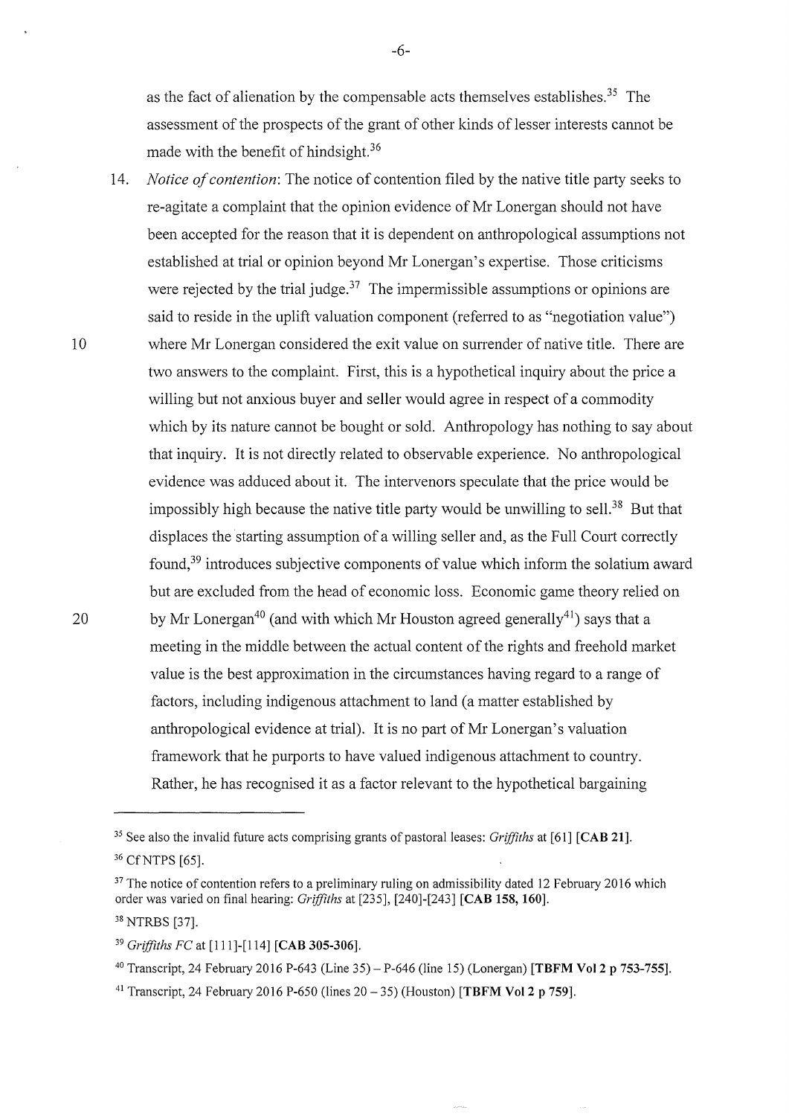as the fact of alienation by the compensable acts themselves establishes.<sup>35</sup> The assessment of the prospects of the grant of other kinds of lesser interests cannot be made with the benefit of hindsight.<sup>36</sup>

-6-

14. *Notice of contention:* The notice of contention filed by the native title party seeks to re-agitate a complaint that the opinion evidence of Mr Lonergan should not have been accepted for the reason that it is dependent on anthropological assumptions not established at trial or opinion beyond Mr Lonergan's expertise. Those criticisms were rejected by the trial judge.<sup>37</sup> The impermissible assumptions or opinions are said to reside in the uplift valuation component (referred to as "negotiation value") 10 where Mr Lonergan considered the exit value on surrender of native title. There are two answers to the complaint. First, this is a hypothetical inquiry about the price a willing but not anxious buyer and seller would agree in respect of a commodity which by its nature cannot be bought or sold. Anthropology has nothing to say about that inquiry. It is not directly related to observable experience. No anthropological evidence was adduced about it. The intervenors speculate that the price would be impossibly high because the native title party would be unwilling to sell.<sup>38</sup> But that displaces the starting assumption of a willing seller and, as the Full Court correctly found, 39 introduces subjective components of value which inform the solatium award but are excluded from the head of economic loss. Economic game theory relied on 20 by Mr Lonergan<sup>40</sup> (and with which Mr Houston agreed generally<sup>41</sup>) says that a meeting in the middle between the actual content of the rights and freehold market value is the best approximation in the circumstances having regard to a range of factors, including indigenous attachment to land (a matter established by anthropological evidence at trial). It is no part of Mr Lonergan's valuation framework that he purports to have valued indigenous attachment to country. Rather, he has recognised it as a factor relevant to the hypothetical bargaining

<sup>&</sup>lt;sup>35</sup> See also the invalid future acts comprising grants of pastoral leases: *Griffiths* at [61] **[CAB 21]**. 36 CfNTPS [65].

<sup>&</sup>lt;sup>37</sup> The notice of contention refers to a preliminary ruling on admissibility dated 12 February 2016 which order was varied on final hearing: *Griffiths* at [235], [240]-[243] **[CAB 158, 160].** 

<sup>38</sup> NTRBS [37].

<sup>39</sup>*Griffiths FC* at [111]-[114] **[CAB 305-306].** 

<sup>40</sup> Transcript, 24 February 2016 P-643 (Line 35)- P-646 (line 15) (Lonergan) **[TBFM Vol2 p 753-755].** 

<sup>41</sup> Transcript, 24 February 2016 P-650 (lines 20- 35) (Houston) **[TBFM Vo12 p 759].**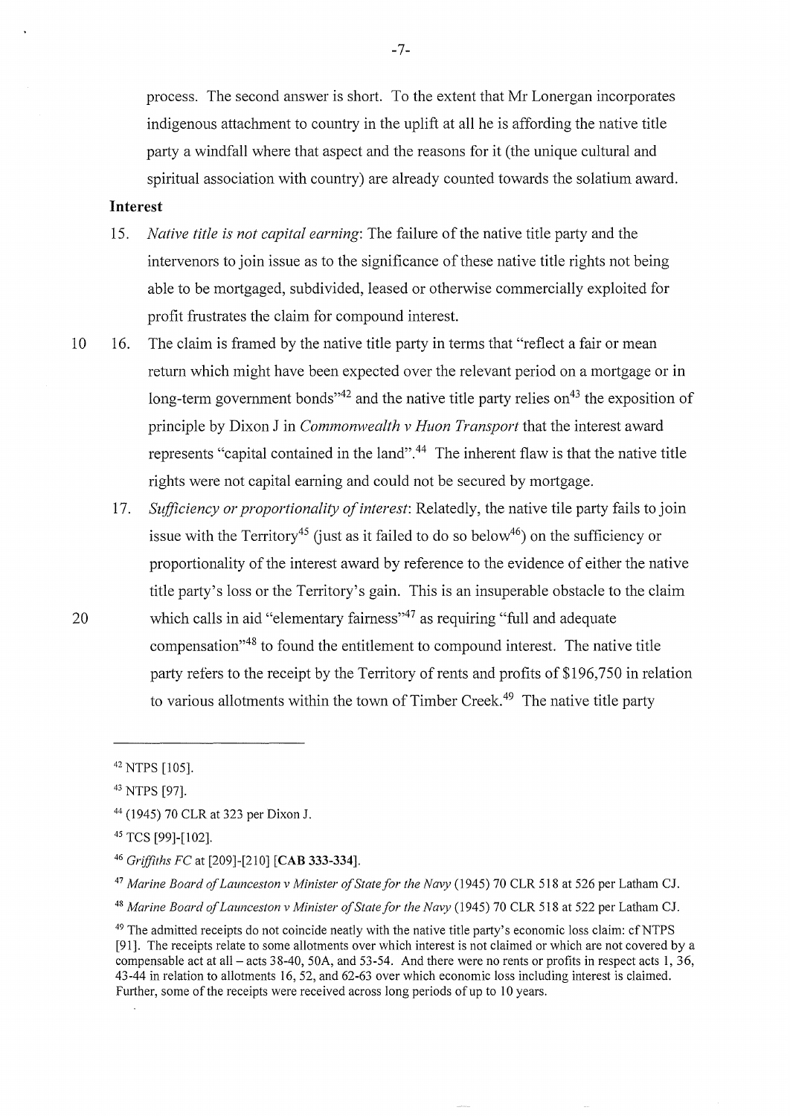process. The second answer is short. To the extent that Mr Lonergan incorporates indigenous attachment to country in the uplift at all he is affording the native title party a windfall where that aspect and the reasons for it (the unique cultural and spiritual association with country) are already counted towards the solatium award.

# **Interest**

- 15. *Native title is not capital earning:* The failure of the native title party and the intervenors to join issue as to the significance of these native title rights not being able to be mortgaged, subdivided, leased or otherwise commercially exploited for profit frustrates the claim for compound interest.
- 10 16. The claim is framed by the native title party in terms that "reflect a fair or mean return which might have been expected over the relevant period on a mortgage or in long-term government bonds<sup> $14$ </sup> and the native title party relies on<sup>43</sup> the exposition of principle by Dixon J in *Commonwealth v Huon Transport* that the interest award represents "capital contained in the land".<sup>44</sup> The inherent flaw is that the native title rights were not capital earning and could not be secured by mortgage.
- 17. *Stifficiency or proportionality of interest:* Relatedly, the native tile party fails to join issue with the Territory<sup>45</sup> (just as it failed to do so below<sup>46</sup>) on the sufficiency or proportionality of the interest award by reference to the evidence of either the native title party's loss or the Territory's gain. This is an insuperable obstacle to the claim 20 which calls in aid "elementary fairness"<sup>47</sup> as requiring "full and adequate compensation"48 to found the entitlement to compound interest. The native title party refers to the receipt by the Territory of rents and profits of \$196,750 in relation to various allotments within the town of Timber Creek.<sup>49</sup> The native title party

<sup>42</sup> NTPS [105].

<sup>43</sup> NTPS [97].

<sup>44 (1945) 70</sup> CLR at 323 per Dixon J.

<sup>45</sup> TCS [99]-[102].

<sup>46</sup>*Griffiths FC* at [209]-[210] **[CAB 333-334].** 

<sup>47</sup>*Marine Board ofLaunceston v Minister of State for the Navy* (1945) 70 CLR 518 at 526 per Latham CJ.

<sup>48</sup>*Marine Board ofLaunceston v Minister of State for the Navy* (1945) 70 CLR 518 at 522 per Latham CJ.

<sup>&</sup>lt;sup>49</sup> The admitted receipts do not coincide neatly with the native title party's economic loss claim: cf NTPS [91]. The receipts relate to some allotments over which interest is not claimed or which are not covered by a compensable act at all- acts 38-40, 50A, and 53-54. And there were no rents or profits in respect acts 1, 36, 43-44 in relation to allotments 16, 52, and 62-63 over which economic loss including interest is claimed. Further, some of the receipts were received across long periods of up to 10 years.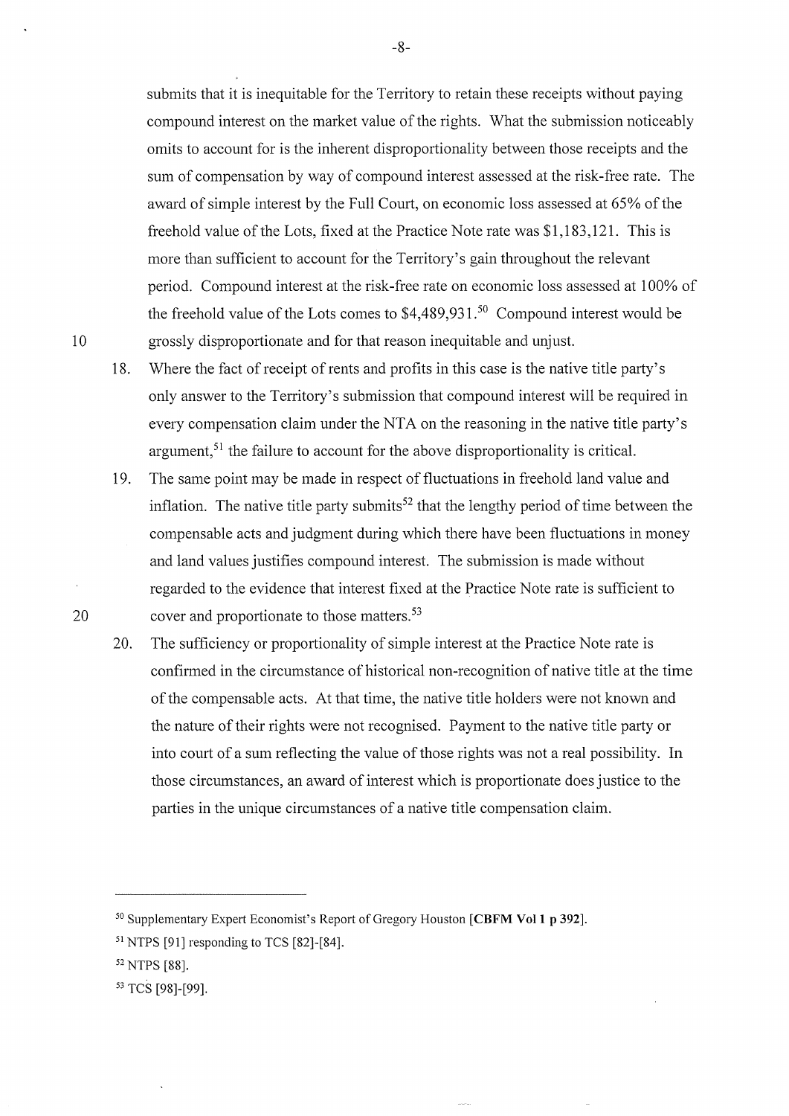submits that it is inequitable for the Territory to retain these receipts without paying compound interest on the market value of the rights. What the submission noticeably omits to account for is the inherent disproportionality between those receipts and the sum of compensation by way of compound interest assessed at the risk-free rate. The award of simple interest by the Full Court, on economic loss assessed at 65% of the freehold value of the Lots, fixed at the Practice Note rate was \$1,183,121. This is more than sufficient to account for the Territory's gain throughout the relevant period. Compound interest at the risk-free rate on economic loss assessed at 1 00% of the freehold value of the Lots comes to  $$4,489,931.<sup>50</sup>$  Compound interest would be 10 grossly disproportionate and for that reason inequitable and unjust.

- 18. Where the fact of receipt of rents and profits in this case is the native title party's only answer to the Territory's submission that compound interest will be required in every compensation claim under the NTA on the reasoning in the native title party's argument,<sup>51</sup> the failure to account for the above disproportionality is critical.
- 19. The same point may be made in respect of fluctuations in freehold land value and inflation. The native title party submits<sup>52</sup> that the lengthy period of time between the compensable acts and judgment during which there have been fluctuations in money and land values justifies compound interest. The submission is made without regarded to the evidence that interest fixed at the Practice Note rate is sufficient to 20 cover and proportionate to those matters.<sup>53</sup>
	- 20. The sufficiency or proportionality of simple interest at the Practice Note rate is confirmed in the circumstance of historical non-recognition of native title at the time of the compensable acts. At that time, the native title holders were not known and the nature of their rights were not recognised. Payment to the native title party or into court of a sum reflecting the value of those rights was not a real possibility. In those circumstances, an award of interest which is proportionate does justice to the parties in the unique circumstances of a native title compensation claim.

-8-

<sup>50</sup> Supplementary Expert Economist's Report ofGregory Houston **[CBFM Voll p 392].** 

<sup>51</sup> NTPS [91] responding to TCS [82]-[84].

<sup>52</sup> NTPS [88].

<sup>53</sup> TCS [98]-[99].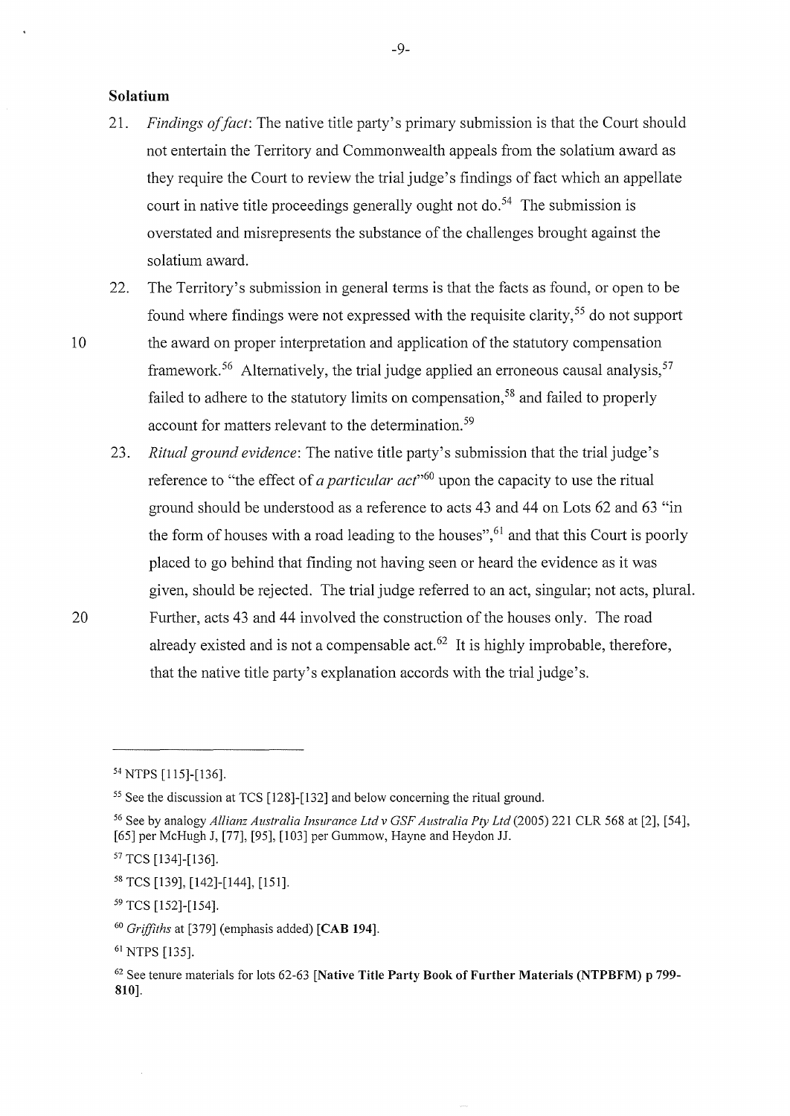# **Solatium**

- 21. *Findings of fact*: The native title party's primary submission is that the Court should not entertain the Territory and Commonwealth appeals from the solatium award as they require the Court to review the trial judge's findings of fact which an appellate court in native title proceedings generally ought not do.<sup>54</sup> The submission is overstated and misrepresents the substance of the challenges brought against the solatium award.
- 22. The Territory's submission in general terms is that the facts as found, or open to be found where findings were not expressed with the requisite clarity, 55 do not support

10 the award on proper interpretation and application of the statutory compensation framework.<sup>56</sup> Alternatively, the trial judge applied an erroneous causal analysis,<sup>57</sup> failed to adhere to the statutory limits on compensation,<sup>58</sup> and failed to properly account for matters relevant to the determination. 59

23. *Ritual ground evidence:* The native title party's submission that the trial judge's reference to "the effect of *a particular act*"<sup>60</sup> upon the capacity to use the ritual ground should be understood as a reference to acts 43 and 44 on Lots 62 and 63 "in the form of houses with a road leading to the houses",  $61$  and that this Court is poorly placed to go behind that finding not having seen or heard the evidence as it was given, should be rejected. The trial judge referred to an act, singular; not acts, plural. 20 Further, acts 43 and 44 involved the construction of the houses only. The road already existed and is not a compensable act. $62$  It is highly improbable, therefore, that the native title party's explanation accords with the trial judge's.

<sup>54</sup> NTPS [115]-[136].

<sup>&</sup>lt;sup>55</sup> See the discussion at TCS [128]-[132] and below concerning the ritual ground.

<sup>56</sup> See by analogy *Allianz Australia Insurance Ltd v GSF Australia Pty Ltd* (2005) 221 CLR 568 at [2], [54], [65] per McHugh J, [77], [95], [103] per Gummow, Hayne and Heydon JJ.

<sup>57</sup> TCS [134]-[136].

<sup>58</sup> TCS [139], [142]-[144], [151].

<sup>59</sup> TCS [152]-[154].

<sup>60</sup>*Grifjiths* at [379] (emphasis added) **[CAB 194].** 

<sup>61</sup> NTPS [135].

<sup>62</sup> See tenure materials for lots 62-63 **[Native Title Party Book of Further Materials (NTPBFM) p** 799- **810].**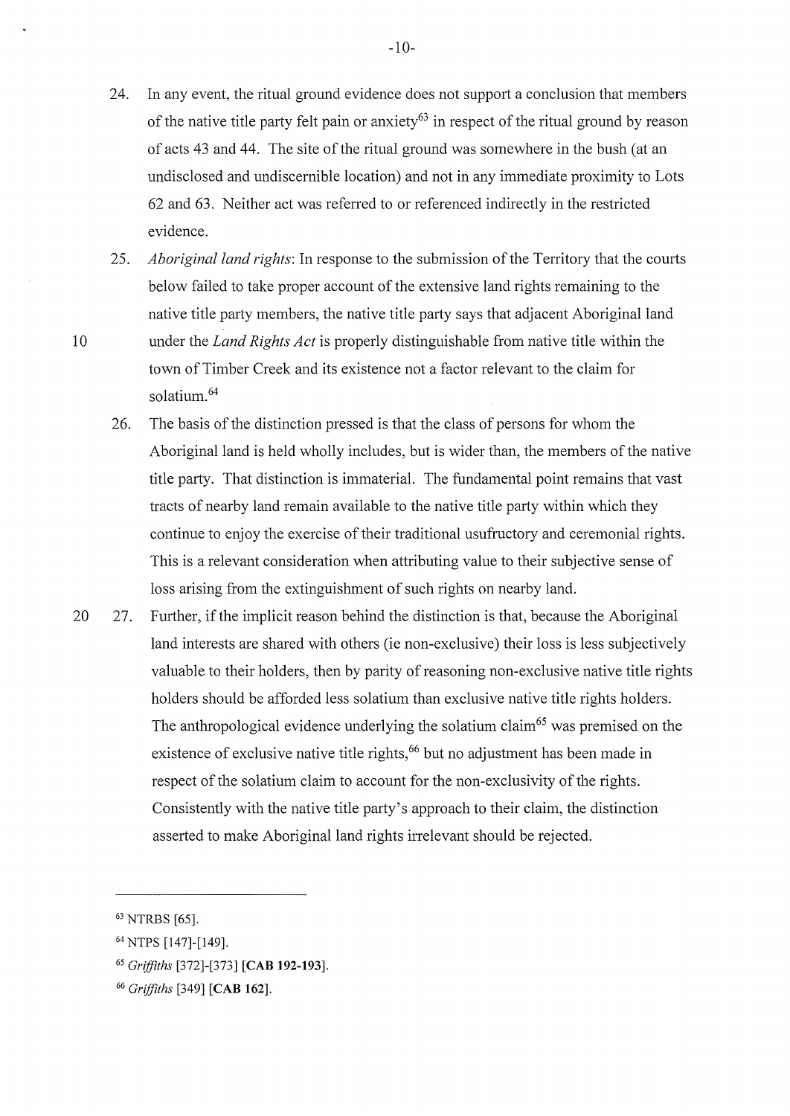- 24. In any event, the ritual ground evidence does not support a conclusion that members of the native title party felt pain or anxiety<sup>63</sup> in respect of the ritual ground by reason of acts 43 and 44. The site of the ritual ground was somewhere in the bush (at an undisclosed and undiscernible location) and not in any immediate proximity to Lots 62 and 63. Neither act was referred to or referenced indirectly in the restricted evidence.
- 25. *Aboriginal land rights:* In response to the submission of the Territory that the courts below failed to take proper account of the extensive land rights remaining to the native title party members, the native title party says that adjacent Aboriginal land 10 under the *Land Rights Act* is properly distinguishable from native title within the town of Timber Creek and its existence not a factor relevant to the claim for solatium. 64
	- 26. The basis of the distinction pressed is that the class of persons for whom the Aboriginal land is held wholly includes, but is wider than, the members of the native title party. That distinction is immaterial. The fundamental point remains that vast tracts of nearby land remain available to the native title patiy within which they continue to enjoy the exercise of their traditional usufructory and ceremonial rights. This is a relevant consideration when attributing value to their subjective sense of loss arising from the extinguishment of such rights on nearby land.
- 20 27. Further, if the implicit reason behind the distinction is that, because the Aboriginal land interests are shared with others (ie non-exclusive) their loss is less subjectively valuable to their holders, then by parity of reasoning non-exclusive native title rights holders should be afforded less solatium than exclusive native title rights holders. The anthropological evidence underlying the solatium claim<sup>65</sup> was premised on the existence of exclusive native title rights,<sup>66</sup> but no adjustment has been made in respect of the solatium claim to account for the non-exclusivity of the rights. Consistently with the native title party's approach to their claim, the distinction asserted to make Aboriginal land rights irrelevant should be rejected.

<sup>63</sup> NTRBS [65].

<sup>64</sup> NTPS [147]-[149].

<sup>65</sup>*Griffiths* [372]-[373] **[CAB 192-193].** 

<sup>66</sup> *Griffiths* [349] **[CAB 162].**